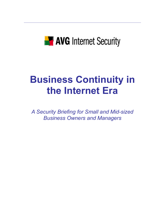

# **Business Continuity in the Internet Era**

*A Security Briefing for Small and Mid-sized Business Owners and Managers*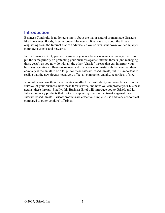# **Introduction**

Business Continuity is no longer simply about the major natural or manmade disasters like hurricanes, floods, fires, or power blackouts. It is now also about the threats originating from the Internet that can adversely slow or even shut down your company's computer systems and networks.

In this Business Brief, you will learn why you as a business owner or manager need to put the same priority on protecting your business against Internet threats (and managing those costs), as you now do with all the other "classic" threats that can interrupt your business operations. Business owners and managers may mistakenly believe that their company is too small to be a target for these Internet-based threats, but it is important to realize that the new threats negatively affect all companies equally, regardless of size.

You will learn how these new threats can affect the profitability and sometimes even the survival of your business, how these threats work, and how you can protect your business against these threats. Finally, this Business Brief will introduce you to Grisoft and its Internet security products that protect computer systems and networks against these Internet-based threats. Grisoft products are effective, simple to use and very economical compared to other vendors' offerings.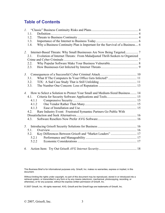# **Table of Contents**

|    | 1.1.  |                                                                                |  |
|----|-------|--------------------------------------------------------------------------------|--|
|    | 1.2.  |                                                                                |  |
|    | 1.3.  |                                                                                |  |
|    | 1.4.  | Why a Business Continuity Plan is Important for the Survival of a Business 6   |  |
|    | 2.    |                                                                                |  |
|    | 2.1.  | Evolution of Internet Threats: From Maladjusted Thrill-Seekers to Organized    |  |
|    |       |                                                                                |  |
|    | 2.2.  |                                                                                |  |
|    | 2.3.  |                                                                                |  |
| 3. |       |                                                                                |  |
|    | 3.1.  |                                                                                |  |
|    | 3.2.  |                                                                                |  |
|    | 3.3.  |                                                                                |  |
|    |       | 4. How to Select a Solution to Protect Your Small and Medium-Sized Business 14 |  |
|    |       |                                                                                |  |
|    | 4.1.1 |                                                                                |  |
|    | 4.1.2 |                                                                                |  |
|    | 4.1.3 |                                                                                |  |
|    |       | 4.2. Rare Industry Event: Frustrated Symantec Partners Go Public With          |  |
|    |       |                                                                                |  |
|    | 4.3.  |                                                                                |  |
|    |       |                                                                                |  |
|    | 5.1.  |                                                                                |  |
|    | 5.2.  | Key Differences Between Grisoft and "Market Leaders"  17                       |  |
|    |       | 5.2.1                                                                          |  |
|    | 5.2.2 |                                                                                |  |
| 6. |       |                                                                                |  |

This Business Brief is for informational purposes only. Grisoft, Inc. makes no warranties, express or implied, in this document.

Without limiting the rights under copyright, no part of this document may be reproduced, stored in or introduced into a retrieval system, or transmitted in any form or by any means (electronic, mechanical, photocopying, recording, or otherwise), or for any purpose, without the express written permission of Grisoft, Inc.

© 2007 Grisoft, Inc. All rights reserved. AVG, Grisoft and the Grisoft logo are trademarks of Grisoft, Inc.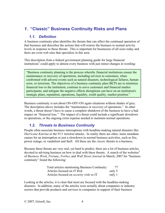# *1.* **"Classic" Business Continuity Risks and Plans**

## *1.1. Definition*

A business continuity plan identifies the threats that can affect the continued operation of that business and describes the actions that will restore the business to normal activity levels in response to these threats. This is important for businesses of all sizes today and there are even web sites that specialize in this area.

This description from a federal government planning guide for large financial institutions<sup>1</sup> could apply to almost every business with just minor changes in wording:

"Business continuity planning is the process whereby financial institutions ensure the maintenance or recovery of operations, including services to customers, when confronted with adverse events such as natural disasters, technological failures, human error, or terrorism. The objectives of a business continuity plan (BCP) are to minimize financial loss to the institution; continue to serve customers and financial market participants; and mitigate the negative effects disruptions can have on an institution's strategic plans, reputation, operations, liquidity, credit quality, market position."

Business continuity is not about ON-OFF-ON again situations without shades of grey. The description above includes the "maintenance or recovery of operations." In other words, a threat doesn't have to cause a complete shutdown of the business to have a bad impact on "financial loss." The impact of a threat could include a significant slowdown in operations, or the ongoing extra expense needed to maintain normal operations.

# *1.2. Threats to Business Continuity*

People often associate business interruptions with headline-making natural disasters like *Hurricane Katrina* or the 9/11 terrorist attacks. In reality there are other, more mundane causes for an interruption or just a slowdown in normal business activities, such as fire, power outage, or vandalism and theft. All these are the *classic* threats to a business.

Because these threats are very real, yet hard to predict, there are a lot of business articles devoted to advising business on how to deal with these threats. A search of the websites<sup>2</sup> of *Business Week*, *Fortune*, *Forbes*, and *Wall Street Journal* in March, 2007 for "business continuity" found the following:

| Total articles mentioning Business Continuity:  | 77     |
|-------------------------------------------------|--------|
| Articles focused on IT Risk                     | only 5 |
| Articles focused on <i>security risks</i> to IT | only 1 |

Looking at the articles, it is clear that most are focused with the headline-making disasters. In addition, many of the articles were actually about companies or industry sectors that provide products and services to companies in support of their business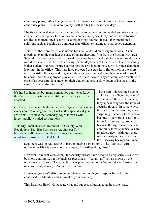continuity plans, rather than guidance for companies needing to improve their business continuity plans. Business continuity itself is a big business these days.

The five articles that actually provided advice to readers recommended solutions such as an alternate emergency location for call center employees. Only one of the IT focused articles even mentioned security as a major threat source. Instead they mentioned solutions such as backing up computer data offsite, or having an emergency generator.

Neither of these are realistic solutions for small and mid-sized organizations. As an anecdotal example consider the case of an architectural firm from the Boston, MA area. Several times each week the firm world back up their critical data to tape and send it on a round trip via Federal Express arriving several days back at their office. Their reasoning is that Federal Express' insured carrier service provided more security for their data than leaving it in the office. This may have protected the data from fire or theft in the short term but still left it exposed to general data security issues during the course of normal business. And this approach *guarantees, at worst,* several days of complete downtime in case of a successful data attack on their data or, at best, a slow down of business in the case of a successful viral attack.

It's hard to imagine, but many companies don't even know they've had a security breach until long after they've been attacked. …

Go the extra mile and build in hardened layers of security at every connection edge of the IT network, especially if you are a small business that someday hopes to work with larger, publicly traded corporations.

– "Is My Small Business Required To Comply With Regulations That Big Businesses Are Subject To?" http://www.allbusiness.com/legal/laws-governmentregulations-business/11330-1.html

These steps address the issue of an IT facility affected by one of the "classic" threats. However, they appear to ignore the issue of security threats. In some ways, this lack of understanding is not surprising. Security threats have become a "corporate issue" only in the last few years, probably because the significant business continuity threats themselves are relatively new. Although there were security issues caused by thrill-seeking hackers five years

ago, there was no real lasting impact on business operations. The "Melissa" virus outbreak in 1999 is a very good example of a thrill-seeking virus.<sup>3</sup>

However, in recent years computer security threats have become a very serious issue for business continuity, but the business press, hasn't "caught up" yet, as shown by the numbers cited above. Thus, the business press *has yet to understand the seriousness of this issue and properly educate its readership.* 

However, you can't afford to be uninformed, not with your responsibility for the continued profitability and survival of your company.

This Business Brief will educate you, and suggest solutions to address the issue.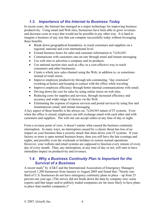# *1.3. Importance of the Internet to Business Today*

In recent years, the Internet has emerged as a major technology for improving business productivity. Using email and Web sites, businesses have been able to grow revenues and decrease costs in ways that would not be possible in any other way. It is hard to imagine a business of any size that can compete successfully today without leveraging these benefits.

- Break down geographical boundaries, to reach customers and suppliers on a regional, national and even international level.
- Extend business hours for sales and customer information to 7x24x365.
- Communicate with customers one-on-one through email and instant messaging.
- Use web sites to advertise a company and its products.
- Use national auction sites such as *eBay* as a cost-effective way to reach consumers and other businesses.
- Create a whole new sales channel using the Web, in addition to, or sometimes instead of retail stores.
- Improve employee productivity through tele-commuting, "day extension" (working at home) and keeping in contact with the office while traveling.
- Improve employee efficiency through better internal communications with email.
- Driving down the cost for sales by using online stores on web sites.
- Reducing costs for supplies and services, through increased efficiency and accuracy and wider range of choices via the Web.
- Eliminating the expense of express services and postal services by using free and instantaneous email, and instant messaging.

A key aspect of these benefits is the always on, 7x24x365 nature of IT systems. Even when the office is closed, employees can still exchange email with each other and with customers and suppliers. The web site can accept orders at any time of day or night.

From a revenue point of view, it doesn't matter what caused the business continuity interruption. In many ways, an interruption caused by a classic threat has less of an impact on your business than a security attack that shuts down your IT systems. If your factory or store is open normal business hours, then you still have the late evenings and nights, and possibly even the weekends or holidays to restore normal operations. However, your website and email systems are supposed to function every minute of every day of every month. Thus, any interruption, at any time of day or not, will start to have immediate impact on productivity and revenues.

# *1.4. Why a Business Continuity Plan is Important for the Survival of a Business*

A recent study<sup>4</sup> by AT&T and the International Association of Emergency Managers surveyed 1,200 businesses from January to August 2005 and found that, "Nearly onethird of U.S. businesses do not have emergency continuity plans in place – up from 25 percent one year ago. (The survey did not break down the data by company size; some experts said that larger and/or publicly traded companies are far more likely to have plans in place than smaller companies.)"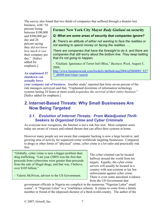The survey also found that two thirds of companies that suffered through a disaster lost business, with "16

percent losing between \$100,000 and \$500,000 per day and 26 percent saying they *did not know how much it cost*  their company per day." [Italics added for emphasis.]

**Former New York City Mayor** *Rudy Giuliani* **on security** 

*Q: What are some areas of security that companies ignore?* 

*A: There's an attitude of either not wanting to face the realities or not wanting to spend money on facing the realities. …* 

*There are companies that have the foresight to do it, and there are companies that still worry about the bottom line. They keep betting that it's not going to happen.* 

– *"*Giuliani: Ignorance of Terror Isn't Bliss," *Business Week,* August 5, 2004,

**An unplanned IT shutdown can actually force** 

http://www.businessweek.com/bwdaily/dnflash/aug2004/nf2004085\_837 7\_db008.htm?chan=search

**your company out of business.** Another study<sup>5</sup> reported that forty-seven percent of the risk managers surveyed said that, "Unplanned downtime of information technology systems lasting 24 hours or more could *jeopardize the survival of their entire business*." [Italics added for emphasis.]

# *2.* **Internet-Based Threats: Why Small Businesses Are Now Being Targeted**

## *2.1. Evolution of Internet Threats: From Maladjusted Thrill-Seekers to Organized Crime and Cyber Criminals*

As everyone now recognizes, the Internet is not a risk free tool. Most computer users today are aware of viruses and related threats that can affect their systems at home.

However many people are not aware that computer hacking is now a large lucrative, and growing area of activity for organized crime worldwide targeting businesses. Compared to drugs or other forms of "physical" crime, cyber crime is a lot safer and practically risk free.

"Globally, cyber crime is now a bigger problem than drug trafficking. "Last year (2005) was the first that proceeds from cybercrime were greater than proceeds from the sale of illegal drugs, and that was, I believe, over \$105 billion."

– Valerie McNiven, advisor to the US Government.

The cyber criminal can be located halfway around the world from his targets. Equally, the cyber crime servers will usually be located in a country with non-existent or lax law enforcement against cyber crime. There is even some anecdotal evidence from the US Government that

government officials in Nigeria are complicit in the numerous "Nigerian Letter" email scams<sup>6</sup>. A "Nigerian Letter" is a "confidence scheme. It claims to come from a family member or friend of the (deposed) dictator of a third-world country. The author of the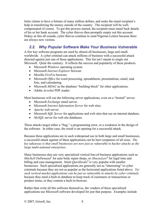letter claims to have a fortune of many million dollars, and seeks the email recipient's help in transferring the money outside of the country. The recipient will be wellcompensated of course. To get this process started, the recipient must email back details of his or her bank account. The cyber thieves then promptly empty out this account. Hokey as this all sounds, cyber thieves continue to send Nigerian Letters because there are always new victims.

# *2.2. Why Popular Software Make Your Business Vulnerable*

A few key software programs are used by almost all businesses, large and small, worldwide. A cyber criminal can attack millions of business with a successful attack directed against just one of these applications. This list isn't meant to single out Microsoft. Quite the contrary. It reflects the success and popularity of these products.

- Microsoft *Windows* operating system.
- Microsoft *Internet Explorer* browser.
- Mozilla *FireFox* browser.
- Microsoft *Office* for word processing, spreadsheets, presentations, email, task lists, and calendaring.
- Microsoft *MDAC* as the database "building block" for other applications.
- Adobe *Acrobat* PDF reader.

Most businesses will use the following server applications, even on a "hosted" server:

- Microsoft *Exchange* email server.
- Microsoft *Internet Information Server* for web sites.
- *Apache* web server.
- Microsoft *SQL Server* for applications and web sites that use an internal database.
- *MySQL* server for web site databases.

These attacks target either a "bug," a programming error, or a weakness in the design of the software. In either case, the result is an opening for a successful attack.

Because these applications are in such widespread use in both large and small businesses, a successful attack against of these applications can be hurt companies of all sizes. *The key takeaway is that small businesses are now just as vulnerable to hacker attacks as the large multi-national enterprises.*

Many businesses also use very specialized vertical line-of-business applications such as Mitchell OnDemand<sup>7</sup> for auto body repair shops, or *AbacusLaw*<sup>8</sup> for legal time and billing and case management. Intuit  $\dot{Quickbooks}^9$  is very popular with smaller businesses. Such specialized applications are generally not as "interesting" to cyber criminals because they are not as popular as the horizontal applications listed above. *Yet such vertical market applications can be just as vulnerable to attacks by cyber criminals*  because they need a built-in database to keep track of customers or transactions or product items, or they contain a built-in browser.

Rather than write all this software themselves, the vendors of these specialized applications use Microsoft software developed for just that purpose. Examples include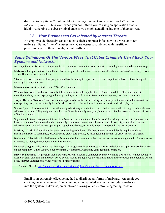database tools *(MDAC* "building blocks" or SQL Server*)* and special "hooks" built into *Internet Explorer.* Thus, even when you don't think you're using an application that is highly vulnerable to cyber criminal attacks, you might actually using one of them anyway

# *2.3. How Businesses Get Infected by Internet Threats*

No employee deliberately sets out to have their computer infected with a virus or other malware. But no "intent" is necessary. Carelessness, combined with insufficient protection against these threats, is quite sufficient.

## *Some Definitions Of The Various Ways That Cyber Criminals Can Attack Your Systems and Networks.*

As computer security becomes important for the business community, some esoteric terminology has entered common usage.

**Malware** - The generic term for software that is designed to do harm - a contraction of 'malicious software' including viruses, Trojan Horses, worms, and others.

**Virus** - A virus is a 'infects' other programs and has the ability to copy itself to other computers or disks, without being asked to do so by the computer user.

**Macro Virus** - A virus hidden in an MS *Office* document.

**Worm** - Worms are similar to viruses, but they do not infect other applications. A virus can delete files, alter content, reconfigure the system, display a graphic or graphics, or install other software such as spyware, backdoor, or a zombie.

**Trojan Horse** or **Trojan** -Trojan horses may appear to be useful or interesting programs (or at the very least harmless) to an unsuspecting user, but are actually harmful when executed. Examples include online music and video players.

**Spam** - Spam refers to unsolicited e-mail, mostly advertising a product or service that is mass mailed to huge number of e-mail addresses at a time, filling recipients' mail boxes. Spam is not only annoying, but also can often be a source of scams, viruses or offensive content.

**Spyware** - Software that gathers information from a user's computer without the user's knowledge or consent. Spyware can infect a computer from a website with potentially dangerous content, e-mail, worms and viruses. Spyware often contains advertisements, or window pop-ups for pornographic web sites, or installs a new home page in the user's browser.

**Phishing** - A criminal activity using social engineering techniques. Phishers attempt to fraudulently acquire sensitive information, such as usernames, passwords and credit card details, by masquerading in email as eBay, PayPal or a bank.

**Backdoor** - A backdoor is a hidden entry for remote hackers. Once installed, the hacker can come and go at will. Backdoors are often used to hiding the true location of the spammer.

**Keystroke logger** - Also known as "keylogger." A program or in some cases a hardware device that captures every key stroke on the computer. When used by a cyber criminal, it steals passwords and confidential information.

**Drive-by download** - A program that is automatically installed in a computer by merely visiting a Web site, without having to explicitly click on a link on the page. Drive-by downloads are deployed by exploiting flaws in the browser and operating system code. Internet Explorer and Windows are the primary targets.

Sources: Grisoft, http://www.itsecurity.com/dictionary/, http://www.techweb.com/encyclopedia/

Email is an extremely effective method to distribute all forms of malware. An employee clicking on an attachment from an unknown or spoofed sender can introduce malware into the system. Likewise, an employee clicking on an electronic "greeting card" or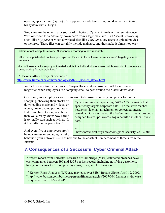opening up a picture (*jpg* file) of a supposedly nude tennis star, could actually infecting his system with a Trojan.

Web sites are the other major source of infection. Cyber criminals will often introduce "exploit code" for a "drive by download" from a legitimate site. But "social networking sites" like *MySpace* or video download sites like *YouTube* allow users to upload movies or pictures. These files can certainly include malware, and thus make it almost too easy

Hackers attack computers every 39 seconds, according to new research.

Unlike the sophisticated hackers portrayed on TV and in films, these hackers weren't targeting specific computers.

"Most of these attacks employ automated scripts that indiscriminately seek out thousands of computers at a time, looking for vulnerabilities."

– "Hackers Attack Every 39 Seconds," http://www.livescience.com/technology/070207\_hacker\_attack.html

for hackers to introduce viruses or Trojan Horses into a business. All these risks are magnified when employees use company email to pass around their latest downloads.

Of course, your employees aren't *supposed* to be using company computers for online

shopping, checking their stocks or downloading music and videos, or worse, downloading pornography. But if you have teenagers at home then you already know how hard it is to totally stop such activities. Is it that different in your office?

Cyber criminals are spreading *LdPinch.ZO*, a *trojan* that specifically targets corporate data. The malware reaches networks via email attachment or concealed internet download. Once activated, the *trojan* installs malicious code designed to steal passwords, login details and other private data.

And even if your employees aren't being careless or engaging in risky

 $\frac{1}{2}$ "http://www.first.org/newsroom/globalsecurity/92312.html

behavior, your network is still at risk due to the constant bombardment of threats from the Internet.

# *3.* **Consequences of a Successful Cyber Criminal Attack**

A recent report from Forrester Research of Cambridge [Mass] estimated breaches have cost companies between \$90 and \$305 per lost record, including notifying customers, hiring contractors to fix computer systems, fines, and lost business.

<sup>-1</sup> Kerber, Ross, Analysts: TJX case may cost over \$1b," Boston Globe, April 12, 2007, "http://www.boston.com/business/personalfinance/articles/2007/04/12/analysts\_tjx\_case may cost over 1b?mode=PF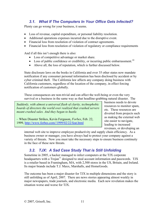# *3.1. What If The Computers In Your Office Gets Infected?*

Plenty can go wrong for your business, it seems.

- Loss of revenue, capital expenditure, or personal liability resolution.
- Additional operations expenses incurred due to the disruptive event.
- Financial loss from resolution of violation of contract agreements.
- Financial loss from resolution of violation of regulatory or compliance requirements

And if all this isn't enough there is also:

- Loss of competitive advantage or market share.
- Loss of public confidence or credibility, or incurring public embarrassment.<sup>10</sup>
- Above all, the loss of reputation, which is further discussed below.

State disclosure laws on the books in California and over 35 other states now mandate notification if any consumer personal information has been disclosed by accident or by cyber criminal theft. The California law affects any company doing business with California customers, regardless of the location of the company, in effect forcing notification of customers globally.

These consequences are non-trivial and can affect the well-being or even the very survival or a business in the same way as that headline-grabbing natural disaster. The

*Suddenly, with almost a universal flash of clarity, technophobic boards of directors the world over realized that crashed servers meant crashed sales. And they began to hustle.* 

– When Disaster Strikes, Kevin Ferguson, *Forbes*, Feb. 22, 1999, http://www.forbes.com//1999/02/22/feat.html

business needs to devote resources to monitor spam, etc. These resources are diverted from projects such as making the external web site easier to navigate, leading to increased revenues, or developing an

internal web site to improve employee productivity and supply chain efficiency. As a business owner or manager, you have always had to protect your company against a variety of threats. Now you must take the necessary steps to ensure business continuity in the face of these new threats.

# *3.2. TJX: A Sad Case Study That is Still Unfolding*

Sometime in 2005, a hacker managed to infect computers at the TJX corporate headquarters with a  $T_{\text{rojan}}^{11}$  designed to steal account information and passwords. TJX is a retailer based in Framingham, MA, with 2,500 stores in the US, Britain, and Ireland. Its major brands include T.J. Maxx, Marshalls, and HomeGoods.

The outcome has been a major disaster for TJX in multiple dimensions and the story is still unfolding as of April, 2007. There are news stories appearing almost weekly in major newspapers, trade journals, and electronic media. Each new revelation makes the situation worse and worse for TJX.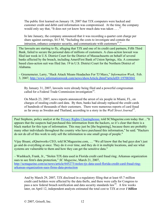The public first learned on January 18, 2007 that TJX computers were hacked and customer credit and debit card information was compromised. At the time, the company would only say that, "It does not yet know how much data was taken  $\ldots$ <sup>12</sup>

In late January, the company announced that it was recording a quarter cent charge per share against earnings, \$4.5 M, "Including the costs to investigate and contain the intrusion, enhance computer security, and communicate with customers $13$ ."

The lawsuits are starting to fly, alleging that TJX and one of its credit card partners, Fifth Third Bank, failed to secure the personal data of millions of customers. A class-action lawsuit was filed last week in U.S. District Court for the District of Massachusetts on behalf of several banks affected by the breach, including AmeriFirst Bank of Union Springs, Ala. A consumerbased class-action suit was filed Jan. 19 in U.S. District Court for the Northern District of Alabama.

– Greenemeier, Larry, "Hack Attack Means Headaches For TJ Maxx," *Information Week*, Feb. 3, 2007, http://www.informationweek.com/news/showArticle.jhtml?articleID=197003041

By January 31, 2007, lawsuits were already being filed and a powerful congressman called for a Federal Trade Commission investigation $14$ .

On March 23, 2007, news reports announced the arrest of six people in Miami, FL, on charges of stealing credit card data. By then, banks had already replaced the credit cards of hundreds of thousands of their customers. There were numerous reports of card fraud as far away as Sweden and Thailand, according to a story in the *Wall Street Journal*15.

Paul Stephens, policy analyst at the Privacy Rights Clearinghouse, told SCMagazine.com today that ..."It appears that the suspects had purchased this information from the hackers, so it's clear that there is a black market for this type of information. This may just be [the beginning], because there are probably many other individuals throughout the country who have purchased this information," he said. "Hackers do not do all of this work to only sell the information to one small group of people."

Vijay Bisani, eIQnetworks CEO, told SCMagazeine.com, … "We all know that the bad guys don't just go and do everything at once. They do it over time, and they do it in multiple locations, and see what systems are vulnerable to them and how they can get the sensitive data."

– Washkuch, Frank, Jr., "Stolen TJX data used in Florida credit card fraud ring; Arkansas organization sues to see firm's data protection," *SC Magazine*, March 21, 2007, http://scmagazine.com/us/news/article/645273/stolen-tjx-data-used-florida-credit-card-fraud-ringarkansas-organization-sues-firms-data-protection

And by March 29, 2007, TJX disclosed in a regulatory filing that at least 45.7 million credit card holders were affected by the data thefts, and there were calls for Congress to pass a new federal breach notification and data security standards law<sup>16</sup>. A few weeks later, on April 12, independent analysts estimated the total cost to TJX at over *1 billion*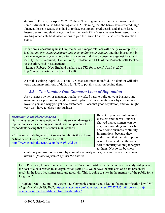*dollars*17. Finally, on April 25, 2007, three New England state bank associations and some individual banks filed suit against TJX, claiming that the banks have suffered large financial losses because they had to replace customers' credit cards and absorb large losses due to fraudulent usage. Further the head of the Massachusetts bank association is inviting other state bank associations to join the lawsuit and will also seek class-action status $^{18}$ .

"If we are successful against TJX, the nation's major retailers will finally wake up to the fact that *not protecting consumer data is an unfair trade practice* and that investment in data management systems to protect consumers and shield consumers against fraud and identity theft is required," Daniel Forte, president and CEO of the Massachusetts Bankers Association, said in a statement.

--Lemos, Robert, "New England bankers sue TJX for breach," April 6, 2007, http://www.securityfocus.com/brief/490

As of this writing (April, 2007), the TJX case continues to unfold. No doubt it will take years and many millions of dollars for TJX to put this situation behind them.

# *3.3. The Number One Concern: Loss of Reputation*

As a business owner or manager, you have worked hard to build up your business and maintain your position in the global marketplace. Your reputation is why customers are loyal to you and why you get new customers. Lose that good reputation, and you might very well have to close your business.

#### *Reputation is the biggest concern*

But among respondents questioned for this survey, damage to reputation is seen as the biggest threat, with 43 percent of respondents saying that this is their main concern.

– "Economist Intelligence Unit survey highlights the extreme criticality of IT systems," March 2, 2007, http://www.continuitycentral.com/news03100.htm

Recent experience with natural disasters and the 9/11 attacks showed that customers can be very understanding and flexible about some business continuity interruptions, because they understand that the interruption was external and that the same sort of interruption might happen to them. Not so for business

continuity interruptions caused by computer security issues, because the real cause was *internal –failure to protect against the threats*.

Larry Ponemon, founder and chairman of the Ponemon Institute, which conducted a study last year on the cost of a data breach to an organization.[said] "… we believe the true cost of a data breach will result in the loss of customer trust and goodwill. This is going to stick in the memory of the public for a long time."

– Kaplan, Dan, "45.7 million-victim TJX Companies breach could lead to federal notification law," *SC Magazine,* March 29, 2007, http://scmagazine.com/us/news/article/647277/457-million-victim-tjxcompanies-breach-lead-federal-notification-law/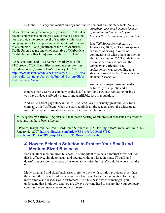Both the TJX story and market surveys and studies demonstrate this stark fact: *The most* 

"As a CEO running a company of your size in 2007, it is beyond comprehension that you would make a decision not to provide the proper level of security within your company to protect the personal and private information of customers," Blake [chairman of the Massachusetts Credit Union League and chief executive of HarborOne Credit Union in Brockton] wrote in the Jan. 26 letter.

– Abelson, Jenn, and Ross Kerber, "Markey calls for FTC probe of TJX, Bank files lawsuit as pressure rises over data breach," *Boston Globe,* January 31, 2007, http://www.boston.com/business/articles/2007/01/31/ma rkey calls for ftc probe of tjx/?rss id=Boston+Globe +--+Business+News

*significant loss to a business because of an interruption caused by an Internet threat is the loss of reputation.* 

In a *Wall Street Journal* story on January 25, 2007, a TJX spokesperson is quoted as saying, "We're not commenting on what others are saying about this situation."19 That defensive response certainly didn't win the company any friends. The spokesperson was responding to a statement issued by the Massachusetts Bankers Association.

And when a major business leader criticizes you in public and a

congressman uses your company as the justification for a new law regulating business, you have indeed suffered a huge, if unquantifiable, loss in reputation.

And while a front page story in the *Wall Street Journal* is usually great publicity for a company, it is "different" when the story reminds all the readers about the widespread impact<sup>20</sup> of what is probably the worst data breach so far in the US.

MBA spokesman Bruce E. Spitzer said that "we're hearing of hundreds of thousands of customer accounts that have been affected."

– Pereira, Joseph, "Wide Credit-Card Fraud Surfaces in TJX Hacking," *Wall Street Journal*, p. D3, January 25, 2007, http://online.wsj.com/article/SB116969301962887162 search.html?KEYWORDS=tjx&COLLECTION=wsjie/6month

# *4.* **How to Select a Solution to Protect Your Small and Medium-Sized Business**

For a small or medium-sized business, it is important to select an Internet threat solution that is effective, simple to install and operate without a large in-house IT staff, and doesn't impose too many costs of its own. Otherwise the "cure" could be worse than the "disease"

Many small and mid-sized businesses prefer to work with solution providers other than the monolithic market leaders because they have a well-deserved reputation for being more nimble and responsive to customers. As a business owner or manager, you understand that intuitively and you are always working hard to ensure that your company continues to be responsive to your customers.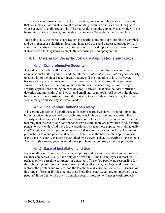If you want your business to run at top efficiency, you cannot rely on a security solution that consumes an inordinate amount of computing resources and, as a result, degrades your business' overall productivity. The net result is that the company as a whole will not be running at top efficiency, nor be able to compete effectively in the marketplace.

That being said, the market share leaders in security solutions today are far too complex and do in fact cause significant lost time, increased costs and decreased productivity. In some cases, end-users will even will try to deactivate desktop security software, because it slows down their systems so much, thus exposing the company to risk.

# *4.1. Criteria for Security Software Applications and Tools*

### **4.1.1 Comprehensive Security**

A good perimeter firewall on the perimeter (the network point that connects your company's network to your ISP and the Internet) is *absolutely essential* for good security to stop a lot of the older hacker threats that are still in circulation today. However, hackers and cyber criminals in particular have learned to work around the perimeter firewall. For today's wide-ranging malware threats, it is necessary to have a range of security applications running on each desktop: a firewall that also includes "intrusion detection and prevention," anti-virus, and email anti-spam tools. All servers should also have a local firewall installed. And the best way to get all these tools is to get a "suite" from a recognized security software vendor.

## **4.1.2 One Vendor Rather Than Many**

It is certainly possible to get all these tools from separate vendors. It sounds appealing but in practice this piecemeal approach produces high costs *and* poor security. Each security application or tool will have its own control panel for setup and administration, meaning that instead of one control panel with a suite, there are now three or four control panels to work with. And there is the additional risk that these applications will actually *conflict* with each other, producing unexpected system crashes and lockups, leading to productivity loss and potential data loss. There is also the risk that the applications still leave gaps in security that can be exploited by a clever hacker. By getting all these tools from a single vendor, you can avoid these problems and get truly effective protection.

## **4.1.3 Ease of Installation and Use**

For a small or medium sized business, simplicity and ease of installation are key issues. Smaller companies usually have only one or two full-time IT employees at most, or perhaps only a part-time contractor or consultant. These few people are responsible for the entire range of information systems including all servers, employees' desktops and laptops, the printers and routers, and the telephone and voicemail systems. Because of this range of responsibilities, no one area, including security, can use too much of these peoples' limited time. An overly complex security solution will never work properly.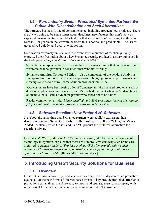## *4.2. Rare Industry Event: Frustrated* **Symantec** *Partners Go Public With Dissatisfaction and Seek Alternatives*

The software business is one of constant change, including frequent new products. There are always going to be some issues about deadlines, new features that don't work as expected, missing features, or older features that somehow don't work right in the new release. For people in the software business this is normal and predictable. The issues get resolved quietly, and everyone moves on.

So it was an extremely unusual and rare event when a number of resellers *publicly* expressed their frustration about a key Symantec security product in a story published in the trade paper *Computer Reseller News* in March 2007<sup>21</sup>

Symantec's enterprise antivirus software has performance issues that are causing some frustrated channel partners to consider other vendors' offerings.

Symantec Antivirus Corporate Edition -- also a component of the vendor's Antivirus Enterprise Suite -- has been breaking applications, bogging down PC performance and slowing systems to a crawl, some solution providers told CRN.

'Our customers have been seeing a lot of Symantec antivirus-related problems, such as delaying applications unnecessarily, and it's reached the point where we're disabling it on many clients,' said a Symantec partner who asked not to be named.

Reader comment on article: *I have installed both AVG and others instead of symantic. [sic] Relationships aside the customers needs should come first.*

# *4.3. Software Resellers Now Prefer AVG Software*

Just about the same time that Symantec partners were publicly expressing their dissatisfaction with Symantec, nearly 1 million software resellers ("VARs," or Value-Added Resellers) voted Grisoft and its AVG product the preferred alternative for security software $^{22}$ .

Lawrence M. Walsh, editor of *VARBusiness* magazine, which covers the business of technology integration, explains that there are numerous reasons why such brands are preferred to category leaders. *"Products such as AVG often provide value-added resellers with superior performance, innovative technology and preferential price opportunities," says Walsh.* [Italics added for emphasis.]

# *5.* **Introducing Grisoft Security Solutions for Business**

# *5.1. Overview*

Grisoft *AVG Internet Security* products provide complete centrally controlled protection against all of the new forms of Internet-based threats. They provide iron-clad, affordable protection against threats, and are easy to install and operate, even for a company with only a small IT department or a company using an outside IT consultant.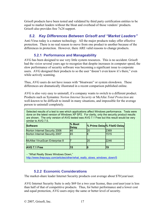Grisoft products have been tested and validated by third party certification entities to be equal to market leaders without the bloat and overhead of those vendors' products. Grisoft also provides free 7x24 support.

# *5.2. Key Differences Between Grisoft and "Market Leaders"*

Anti-Virus today is a mature technology. All the major products today offer effective protection. There is no real reason to move from one product to another because of the differences in protection. However, there ARE valid reasons to change products.

# **5.2.1 Performance and Manageability**

AVG has been designed to use very little system resources. This is no accident. Grisoft had the *vision* several years ago to recognize that despite increases in computer speed, the slow performance of security software was becoming a significant issue to corporate users. AVG designed their products to so the user "doesn't even know it's there," even while actively scanning.

Thus, AVG users do not have issues with "bloatware" or system slowdown. These differences are dramatically illustrated in a recent comparison published online.

AVG is also very easy to uninstall, if a company wants to switch to a different product. Products such as Symantec *Norton Internet Security* or McAfee *Total Protection* are well-known to be difficult to install in many situations, and impossible for the average person to uninstall completely.

Selected results of a test to see which applications affect Windows performance. Tests were done on the latest version of Windows XP SP2. For clarity, only the security product results are shown. The only version of AVG tested was AVG 7.1 Free but this result would be very similar to AVG 7.5.

| <b>Software</b>                      | % Boot<br><b>Delay</b> |           | % Prime Delay% FileIO Delay |
|--------------------------------------|------------------------|-----------|-----------------------------|
| Norton Internet Security 2006        | 46                     | <b>20</b> | 2369                        |
| <b>Norton Internet Security 2007</b> | <b>45</b>              |           | 1515                        |
| <b>McAfee VirusScan Enterprise 8</b> |                        | 20        | 2246                        |
| <b>AVG 7.1 Free</b>                  | 15                     |           | l19                         |

– "What Really Slows Windows Down,"

http://www.thepcspy.com/articles/other/what\_really\_slows\_windows\_down/5

## **5.2.2 Economic Considerations**

The market-share leader Internet Security products cost average about \$70/year/user.

AVG Internet Security Suite is only \$69 for a two year license, thus cost/user/year is less than half of that of competitive products. Thus, for better performance and a lower cost and equal protection, AVG users enjoy the same or better level of security.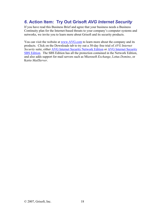# *6.* **Action Item: Try Out Grisoft** *AVG Internet Security*

If you have read this Business Brief and agree that your business needs a Business Continuity plan for the Internet-based threats to your company's computer systems and networks, we invite you to learn more about Grisoft and its security products.

You can visit the website at www.AVG.com to learn more about the company and its products. Click on the Downloads tab to try out a 30-day free trial of *AVG Internet Security* suite, either AVG Internet Security Network Edition or AVG Internet Security SBS Edition. The SBS Edition has all the protection contained in the Network Edition, and also adds support for mail servers such as Microsoft *Exchange*, Lotus *Domino*, or Kerio *MailServer*.